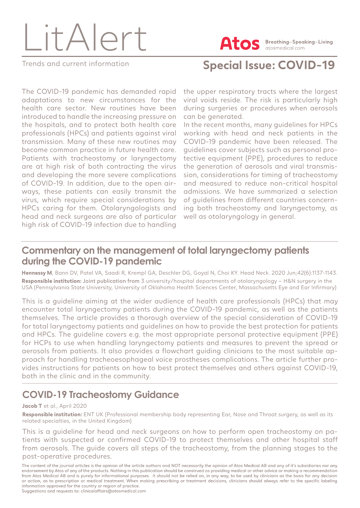

**Atos** Breathing-Speaking-Living atosmedical.com

Trends and current information **Special Issue: COVID-19**

The COVID-19 pandemic has demanded rapid adaptations to new circumstances for the health care sector. New routines have been introduced to handle the increasing pressure on the hospitals, and to protect both health care professionals (HPCs) and patients against viral transmission. Many of these new routines may become common practice in future health care. Patients with tracheostomy or laryngectomy are at high risk of both contracting the virus and developing the more severe complications of COVID-19. In addition, due to the open airways, these patients can easily transmit the virus, which require special considerations by HPCs caring for them. Otolaryngologists and head and neck surgeons are also of particular high risk of COVID-19 infection due to handling

the upper respiratory tracts where the largest viral voids reside. The risk is particularly high during surgeries or procedures when aerosols can be generated.

In the recent months, many guidelines for HPCs working with head and neck patients in the COVID-19 pandemic have been released. The guidelines cover subjects such as personal protective equipment (PPE), procedures to reduce the generation of aerosols and viral transmission, considerations for timing of tracheostomy and measured to reduce non-critical hospital admissions. We have summarized a selection of guidelines from different countries concerning both tracheostomy and laryngectomy, as well as otolaryngology in general.

#### **Commentary on the management of total laryngectomy patients during the COVID-19 pandemic**

**Hennessy M**, Bann DV, Patel VA, Saadi R, Krempl GA, Deschler DG, Goyal N, Choi KY. Head Neck. 2020 Jun;42(6):1137-1143. **Responsible institution:** Joint publication from 3 university/hospital departments of otolaryngology – H&N surgery in the USA (Pennsylvania State University, University of Oklahoma Health Sciences Center, Massachusetts Eye and Ear Infirmary)

This is a guideline aiming at the wider audience of health care professionals (HPCs) that may encounter total laryngectomy patients during the COVID-19 pandemic, as well as the patients themselves. The article provides a thorough overview of the special consideration of COVID-19 for total laryngectomy patients and guidelines on how to provide the best protection for patients and HPCs. The guideline covers e.g. the most appropriate personal protective equipment (PPE) for HCPs to use when handling laryngectomy patients and measures to prevent the spread or aerosols from patients. It also provides a flowchart guiding clinicians to the most suitable approach for handling tracheoesophageal voice prostheses complications. The article further provides instructions for patients on how to best protect themselves and others against COVID-19, both in the clinic and in the community.

### **COVID-19 Tracheostomy Guidance**

#### **Jacob T** et al., April 2020

**Responsible institution:** ENT UK (Professional membership body representing Ear, Nose and Throat surgery, as well as its related specialties, in the United Kingdom)

This is a guideline for head and neck surgeons on how to perform open tracheostomy on patients with suspected or confirmed COVID-19 to protect themselves and other hospital staff from aerosols. The guide covers all steps of the tracheostomy, from the planning stages to the post-operative procedures.

The content of the journal articles is the opinion of the article authors and NOT necessarily the opinion of Atos Medical AB and any of it's subsidiaries nor any endorsement by Atos of any of the products. Nothing in this publication should be construed as providing medical or other advice or making a recommendation from Atos Medical AB and is purely for informational purposes. It should not be relied on, in any way, to be used by clinicians as the basis for any decision or action, as to prescription or medical treatment. When making prescribing or treatment decisions, clinicians should always refer to the specific labeling information approved for the country or region of practice. Suggestions and requests to: clinicalaffairs@atosmedical.com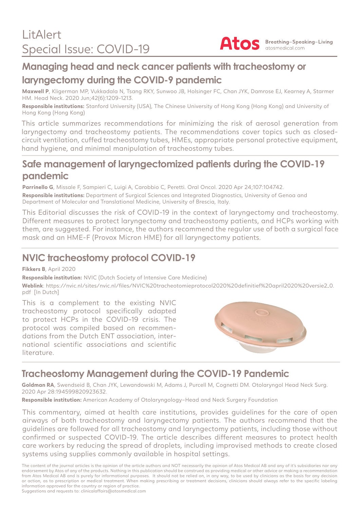

## **Managing head and neck cancer patients with tracheostomy or laryngectomy during the COVID-9 pandemic**

**Maxwell P**, Kligerman MP, Vukkadala N, Tsang RKY, Sunwoo JB, Holsinger FC, Chan JYK, Damrose EJ, Kearney A, Starmer HM. Head Neck. 2020 Jun;42(6):1209-1213.

**Responsible institutions:** Stanford University (USA), The Chinese University of Hong Kong (Hong Kong) and University of Hong Kong (Hong Kong)

This article summarizes recommendations for minimizing the risk of aerosol generation from laryngectomy and tracheostomy patients. The recommendations cover topics such as closedcircuit ventilation, cuffed tracheostomy tubes, HMEs, appropriate personal protective equipment, hand hygiene, and minimal manipulation of tracheostomy tubes.

#### **Safe management of laryngectomized patients during the COVID-19 pandemic**

Parrinello G, Missale F, Sampieri C, Luigi A, Carobbio C, Peretti. Oral Oncol. 2020 Apr 24;107:104742. **Responsible institutions:** Department of Surgical Sciences and Integrated Diagnostics, University of Genoa and Department of Molecular and Translational Medicine, University of Brescia, Italy.

This Editorial discusses the risk of COVID-19 in the context of laryngectomy and tracheostomy. Different measures to protect laryngectomy and tracheostomy patients, and HCPs working with them, are suggested. For instance, the authors recommend the regular use of both a surgical face mask and an HME-F (Provox Micron HME) for all laryngectomy patients.

## **NVIC tracheostomy protocol COVID-19**

**Fikkers B**, April 2020

**Responsible institution:** NVIC (Dutch Society of Intensive Care Medicine)

**Weblink**: https://nvic.nl/sites/nvic.nl/files/NVIC%20tracheotomieprotocol2020%20definitief%20april2020%20versie2\_0. pdf [In Dutch]

This is a complement to the existing NVIC tracheostomy protocol specifically adapted to protect HCPs in the COVID-19 crisis. The protocol was compiled based on recommendations from the Dutch ENT association, international scientific associations and scientific literature.



# **Tracheostomy Management during the COVID-19 Pandemic**

**Goldman RA**, Swendseid B, Chan JYK, Lewandowski M, Adams J, Purcell M, Cognetti DM. Otolaryngol Head Neck Surg. 2020 Apr 28:194599820923632.

**Responsible institution:** American Academy of Otolaryngology–Head and Neck Surgery Foundation

This commentary, aimed at health care institutions, provides guidelines for the care of open airways of both tracheostomy and laryngectomy patients. The authors recommend that the guidelines are followed for all tracheostomy and laryngectomy patients, including those without confirmed or suspected COVID-19. The article describes different measures to protect health care workers by reducing the spread of droplets, including improvised methods to create closed systems using supplies commonly available in hospital settings.

The content of the journal articles is the opinion of the article authors and NOT necessarily the opinion of Atos Medical AB and any of it's subsidiaries nor any endorsement by Atos of any of the products. Nothing in this publication should be construed as providing medical or other advice or making a recommendation from Atos Medical AB and is purely for informational purposes. It should not be relied on, in any way, to be used by clinicians as the basis for any decision or action, as to prescription or medical treatment. When making prescribing or treatment decisions, clinicians should always refer to the specific labeling information approved for the country or region of practice.

Suggestions and requests to: clinicalaffairs@atosmedical.com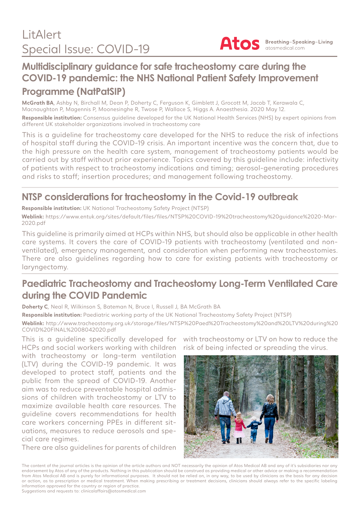

## **Multidisciplinary guidance for safe tracheostomy care during the COVID-19 pandemic: the NHS National Patient Safety Improvement Programme (NatPatSIP)**

**McGrath BA**, Ashby N, Birchall M, Dean P, Doherty C, Ferguson K, Gimblett J, Grocott M, Jacob T, Kerawala C, Macnaughton P, Magennis P, Moonesinghe R, Twose P, Wallace S, Higgs A. Anaesthesia. 2020 May 12. **Responsible institution:** Consensus guideline developed for the UK National Health Services (NHS) by expert opinions from different UK stakeholder organizations involved in tracheostomy care

This is a guideline for tracheostomy care developed for the NHS to reduce the risk of infections of hospital staff during the COVID-19 crisis. An important incentive was the concern that, due to the high pressure on the health care system, management of tracheostomy patients would be carried out by staff without prior experience. Topics covered by this guideline include: infectivity of patients with respect to tracheostomy indications and timing; aerosol-generating procedures and risks to staff; insertion procedures; and management following tracheostomy.

## **NTSP considerations for tracheostomy in the Covid-19 outbreak**

**Responsible institution:** UK National Tracheostomy Safety Project (NTSP)

**Weblink:** https://www.entuk.org/sites/default/files/files/NTSP%20COVID-19%20tracheostomy%20guidance%2020-Mar-2020.pdf

This guideline is primarily aimed at HCPs within NHS, but should also be applicable in other health care systems. It covers the care of COVID-19 patients with tracheostomy (ventilated and nonventilated), emergency management, and consideration when performing new tracheostomies. There are also guidelines regarding how to care for existing patients with tracheostomy or laryngectomy.

### **Paediatric Tracheostomy and Tracheostomy Long-Term Ventilated Care during the COVID Pandemic**

**Doherty C**, Neal R, Wilkinson S, Bateman N, Bruce I, Russell J, BA McGrath BA

**Responsible institution:** Paediatric working party of the UK National Tracheostomy Safety Project (NTSP)

**Weblink:** http://www.tracheostomy.org.uk/storage/files/NTSP%20Paed%20Tracheostomy%20and%20LTV%20during%20 COVID%20FINAL%2008042020.pdf

This is a guideline specifically developed for HCPs and social workers working with children with tracheostomy or long-term ventilation (LTV) during the COVID-19 pandemic. It was developed to protect staff, patients and the public from the spread of COVID-19. Another aim was to reduce preventable hospital admissions of children with tracheostomy or LTV to maximize available health care resources. The guideline covers recommendations for health care workers concerning PPEs in different situations, measures to reduce aerosols and special care regimes.

There are also guidelines for parents of children

with tracheostomy or LTV on how to reduce the risk of being infected or spreading the virus.



The content of the journal articles is the opinion of the article authors and NOT necessarily the opinion of Atos Medical AB and any of it's subsidiaries nor any endorsement by Atos of any of the products. Nothing in this publication should be construed as providing medical or other advice or making a recommendation from Atos Medical AB and is purely for informational purposes. It should not be relied on, in any way, to be used by clinicians as the basis for any decision or action, as to prescription or medical treatment. When making prescribing or treatment decisions, clinicians should always refer to the specific labeling information approved for the country or region of practice.

Suggestions and requests to: clinicalaffairs@atosmedical.com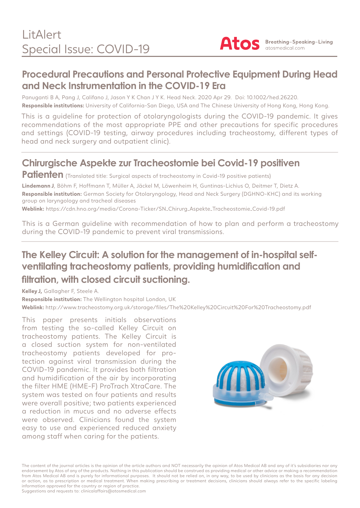

#### **Procedural Precautions and Personal Protective Equipment During Head and Neck Instrumentation in the COVID-19 Era**

Panuganti B A, Pang J, Califano J, Jason Y K Chan J Y K. Head Neck. 2020 Apr 29. Doi: 10.1002/hed.26220.

**Responsible institutions:** University of California-San Diego, USA and The Chinese University of Hong Kong, Hong Kong.

This is a guideline for protection of otolaryngologists during the COVID-19 pandemic. It gives recommendations of the most appropriate PPE and other precautions for specific procedures and settings (COVID-19 testing, airway procedures including tracheostomy, different types of head and neck surgery and outpatient clinic).

# **Chirurgische Aspekte zur Tracheostomie bei Covid-19 positiven**

Patienten (Translated title: Surgical aspects of tracheostomy in Covid-19 positive patients)

**Lindemann J**, Böhm F, Hoffmann T, Müller A, Jäckel M, Löwenheim H, Guntinas-Lichius O, Deitmer T, Dietz A. **Responsible institution:** German Society for Otolaryngology, Head and Neck Surgery (DGHNO-KHC) and its working group on laryngology and tracheal diseases

**Weblink:** https://cdn.hno.org/media/Corona-Ticker/SN\_Chirurg\_Aspekte\_Tracheostomie\_Covid-19.pdf

This is a German guideline with recommendation of how to plan and perform a tracheostomy during the COVID-19 pandemic to prevent viral transmissions.

## **The Kelley Circuit: A solution for the management of in-hospital selfventilating tracheostomy patients, providing humidification and filtration, with closed circuit suctioning.**

**Kelley J,** Gallagher F, Steele A.

**Responsible institution:** The Wellington hospital London, UK **Weblink:** http://www.tracheostomy.org.uk/storage/files/The%20Kelley%20Circuit%20For%20Tracheostomy.pdf

This paper presents initials observations from testing the so-called Kelley Circuit on tracheostomy patients. The Kelley Circuit is a closed suction system for non-ventilated tracheostomy patients developed for protection against viral transmission during the COVID-19 pandemic. It provides both filtration and humidification of the air by incorporating the filter HME (HME-F) ProTrach XtraCare. The system was tested on four patients and results were overall positive; two patients experienced a reduction in mucus and no adverse effects were observed. Clinicians found the system easy to use and experienced reduced anxiety among staff when caring for the patients.



The content of the journal articles is the opinion of the article authors and NOT necessarily the opinion of Atos Medical AB and any of it's subsidiaries nor any endorsement by Atos of any of the products. Nothing in this publication should be construed as providing medical or other advice or making a recommendation from Atos Medical AB and is purely for informational purposes. It should not be relied on, in any way, to be used by clinicians as the basis for any decision or action, as to prescription or medical treatment. When making prescribing or treatment decisions, clinicians should always refer to the specific labeling information approved for the country or region of practice. Suggestions and requests to: clinicalaffairs@atosmedical.com